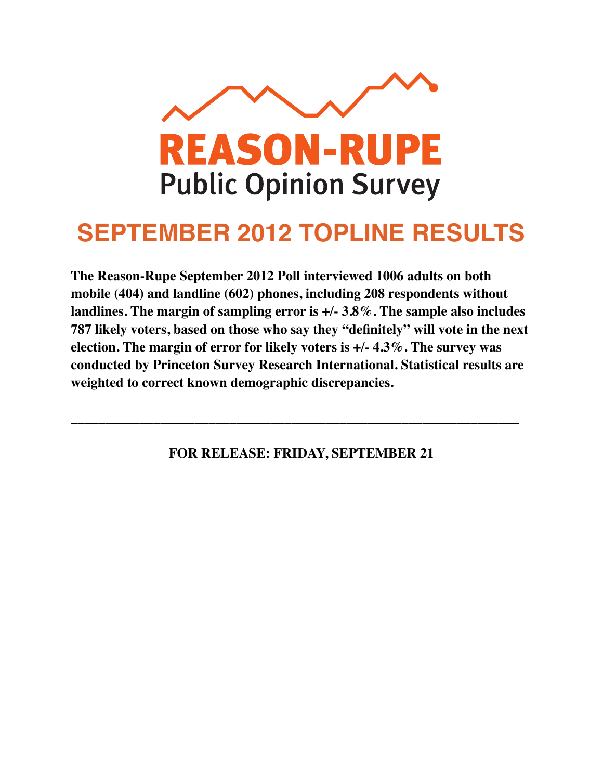

## **SEPTEMBER 2012 TOPLINE RESULTS**

**The Reason-Rupe September 2012 Poll interviewed 1006 adults on both mobile (404) and landline (602) phones, including 208 respondents without landlines. The margin of sampling error is +/- 3.8%. The sample also includes 787 likely voters, based on those who say they "definitely" will vote in the next election. The margin of error for likely voters is +/- 4.3%. The survey was conducted by Princeton Survey Research International. Statistical results are weighted to correct known demographic discrepancies.**

**FOR RELEASE: FRIDAY, SEPTEMBER 21**

**\_\_\_\_\_\_\_\_\_\_\_\_\_\_\_\_\_\_\_\_\_\_\_\_\_\_\_\_\_\_\_\_\_\_\_\_\_\_\_\_\_\_\_\_\_\_\_\_\_\_\_\_\_\_\_\_\_\_\_\_\_\_\_\_\_**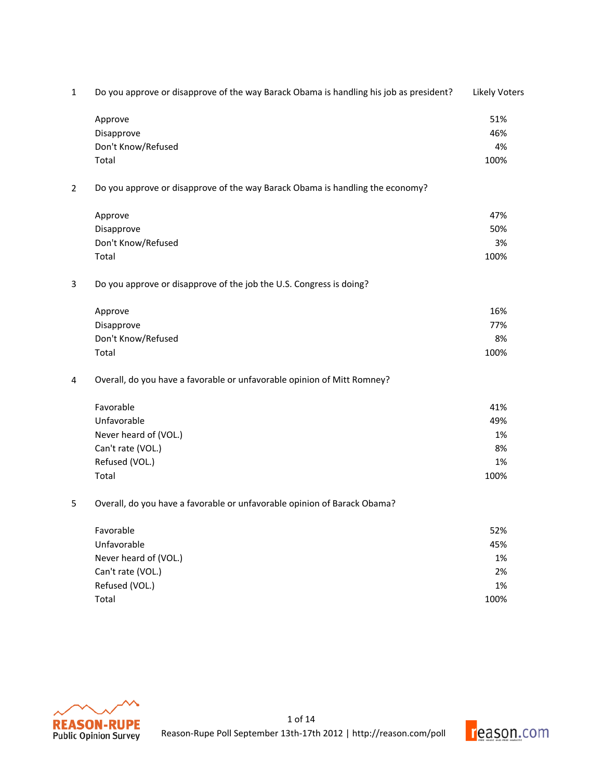| $\mathbf{1}$ | Do you approve or disapprove of the way Barack Obama is handling his job as president? | <b>Likely Voters</b> |
|--------------|----------------------------------------------------------------------------------------|----------------------|
|              | Approve                                                                                | 51%                  |
|              | Disapprove                                                                             | 46%                  |
|              | Don't Know/Refused                                                                     | 4%                   |
|              | Total                                                                                  | 100%                 |
| 2            | Do you approve or disapprove of the way Barack Obama is handling the economy?          |                      |
|              | Approve                                                                                | 47%                  |
|              | Disapprove                                                                             | 50%                  |
|              | Don't Know/Refused                                                                     | 3%                   |
|              | Total                                                                                  | 100%                 |
| 3            | Do you approve or disapprove of the job the U.S. Congress is doing?                    |                      |
|              | Approve                                                                                | 16%                  |
|              | Disapprove                                                                             | 77%                  |
|              | Don't Know/Refused                                                                     | 8%                   |
|              | Total                                                                                  | 100%                 |
| 4            | Overall, do you have a favorable or unfavorable opinion of Mitt Romney?                |                      |
|              | Favorable                                                                              | 41%                  |
|              | Unfavorable                                                                            | 49%                  |
|              | Never heard of (VOL.)                                                                  | 1%                   |
|              | Can't rate (VOL.)                                                                      | 8%                   |
|              | Refused (VOL.)                                                                         | 1%                   |
|              | Total                                                                                  | 100%                 |
| 5            | Overall, do you have a favorable or unfavorable opinion of Barack Obama?               |                      |
|              | Favorable                                                                              | 52%                  |
|              | Unfavorable                                                                            | 45%                  |
|              | Never heard of (VOL.)                                                                  | 1%                   |
|              | Can't rate (VOL.)                                                                      | 2%                   |



Refused (VOL.) 2% Total 100%

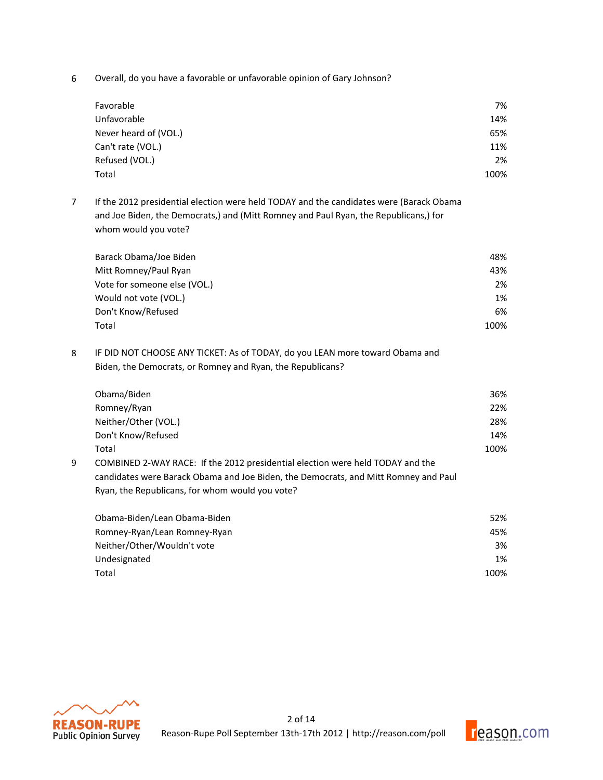6 Overall, do you have a favorable or unfavorable opinion of Gary Johnson?

| Favorable             | 7%   |
|-----------------------|------|
| Unfavorable           | 14%  |
| Never heard of (VOL.) | 65%  |
| Can't rate (VOL.)     | 11%  |
| Refused (VOL.)        | 2%   |
| Total                 | 100% |

7 If the 2012 presidential election were held TODAY and the candidates were (Barack Obama and Joe Biden, the Democrats,) and (Mitt Romney and Paul Ryan, the Republicans,) for whom would you vote?

| Barack Obama/Joe Biden       | 48%  |
|------------------------------|------|
| Mitt Romney/Paul Ryan        | 43%  |
| Vote for someone else (VOL.) | 2%   |
| Would not vote (VOL.)        | 1%   |
| Don't Know/Refused           | 6%   |
| Total                        | 100% |

8 IF DID NOT CHOOSE ANY TICKET: As of TODAY, do you LEAN more toward Obama and Biden, the Democrats, or Romney and Ryan, the Republicans?

|   | Obama/Biden                                                                         | 36%  |
|---|-------------------------------------------------------------------------------------|------|
|   | Romney/Ryan                                                                         | 22%  |
|   | Neither/Other (VOL.)                                                                | 28%  |
|   | Don't Know/Refused                                                                  | 14%  |
|   | Total                                                                               | 100% |
| 9 | COMBINED 2-WAY RACE: If the 2012 presidential election were held TODAY and the      |      |
|   | candidates were Barack Obama and Joe Biden, the Democrats, and Mitt Romney and Paul |      |
|   | Ryan, the Republicans, for whom would you vote?                                     |      |
|   |                                                                                     |      |

| Obama-Biden/Lean Obama-Biden | 52%  |
|------------------------------|------|
| Romney-Ryan/Lean Romney-Ryan | 45%  |
| Neither/Other/Wouldn't vote  | 3%   |
| Undesignated                 | 1%   |
| Total                        | 100% |



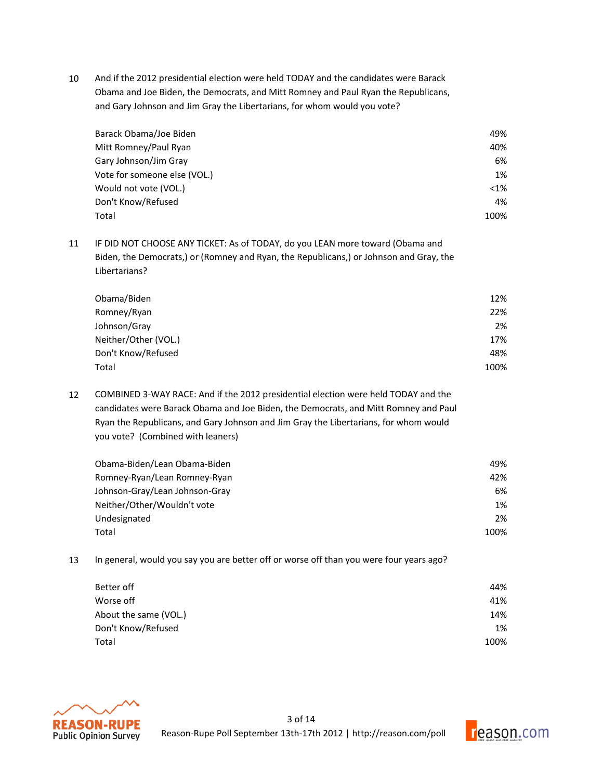10 And if the 2012 presidential election were held TODAY and the candidates were Barack Obama and Joe Biden, the Democrats, and Mitt Romney and Paul Ryan the Republicans, and Gary Johnson and Jim Gray the Libertarians, for whom would you vote?

| Barack Obama/Joe Biden       | 49%     |
|------------------------------|---------|
| Mitt Romney/Paul Ryan        | 40%     |
| Gary Johnson/Jim Gray        | 6%      |
| Vote for someone else (VOL.) | 1%      |
| Would not vote (VOL.)        | $< 1\%$ |
| Don't Know/Refused           | 4%      |
| Total                        | 100%    |

11 IF DID NOT CHOOSE ANY TICKET: As of TODAY, do you LEAN more toward (Obama and Biden, the Democrats,) or (Romney and Ryan, the Republicans,) or Johnson and Gray, the Libertarians?

| Obama/Biden          | 12%  |
|----------------------|------|
| Romney/Ryan          | 22%  |
| Johnson/Gray         | 2%   |
| Neither/Other (VOL.) | 17%  |
| Don't Know/Refused   | 48%  |
| Total                | 100% |

12 COMBINED 3-WAY RACE: And if the 2012 presidential election were held TODAY and the candidates were Barack Obama and Joe Biden, the Democrats, and Mitt Romney and Paul Ryan the Republicans, and Gary Johnson and Jim Gray the Libertarians, for whom would you vote? (Combined with leaners)

| Obama-Biden/Lean Obama-Biden   | 49%  |
|--------------------------------|------|
| Romney-Ryan/Lean Romney-Ryan   | 42%  |
| Johnson-Gray/Lean Johnson-Gray | 6%   |
| Neither/Other/Wouldn't vote    | 1%   |
| Undesignated                   | 2%   |
| Total                          | 100% |

13 In general, would you say you are better off or worse off than you were four years ago?

| Better off            | 44%  |
|-----------------------|------|
| Worse off             | 41%  |
| About the same (VOL.) | 14%  |
| Don't Know/Refused    | 1%   |
| Total                 | 100% |



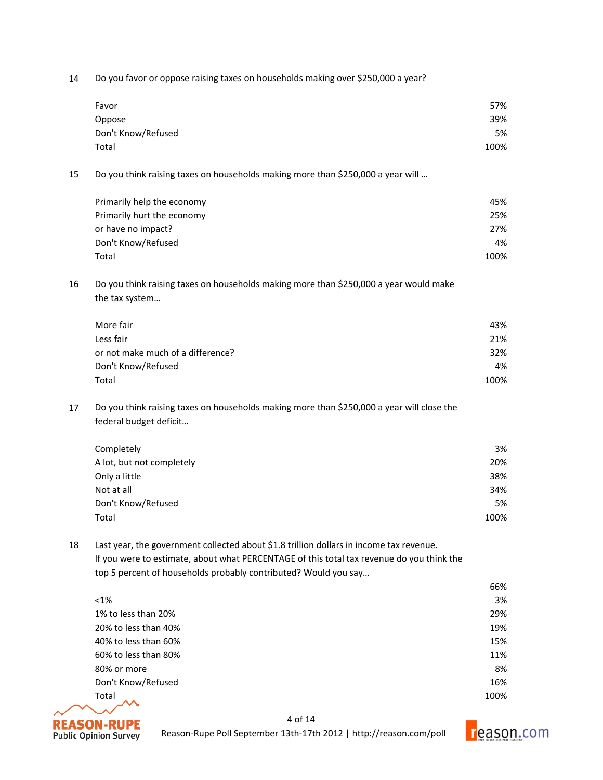14 Do you favor or oppose raising taxes on households making over \$250,000 a year?

| Favor              | 57%  |
|--------------------|------|
| Oppose             | 39%  |
| Don't Know/Refused | 5%   |
| Total              | 100% |

15 Do you think raising taxes on households making more than \$250,000 a year will ...

| Primarily help the economy | 45%  |
|----------------------------|------|
| Primarily hurt the economy | 25%  |
| or have no impact?         | 27%  |
| Don't Know/Refused         | 4%   |
| Total                      | 100% |

16 Do you think raising taxes on households making more than \$250,000 a year would make the tax system...

| More fair                         | 43%  |
|-----------------------------------|------|
| Less fair                         | 21%  |
| or not make much of a difference? | 32%  |
| Don't Know/Refused                | 4%   |
| Total                             | 100% |

17 Do you think raising taxes on households making more than \$250,000 a year will close the federal budget deficit...

| Completely                | 3%   |
|---------------------------|------|
| A lot, but not completely | 20%  |
| Only a little             | 38%  |
| Not at all                | 34%  |
| Don't Know/Refused        | 5%   |
| Total                     | 100% |

18 Last year, the government collected about \$1.8 trillion dollars in income tax revenue. If you were to estimate, about what PERCENTAGE of this total tax revenue do you think the top 5 percent of households probably contributed? Would you say...

|                      | 66%  |
|----------------------|------|
| $< 1\%$              | 3%   |
| 1% to less than 20%  | 29%  |
| 20% to less than 40% | 19%  |
| 40% to less than 60% | 15%  |
| 60% to less than 80% | 11%  |
| 80% or more          | 8%   |
| Don't Know/Refused   | 16%  |
| Total                | 100% |
|                      |      |



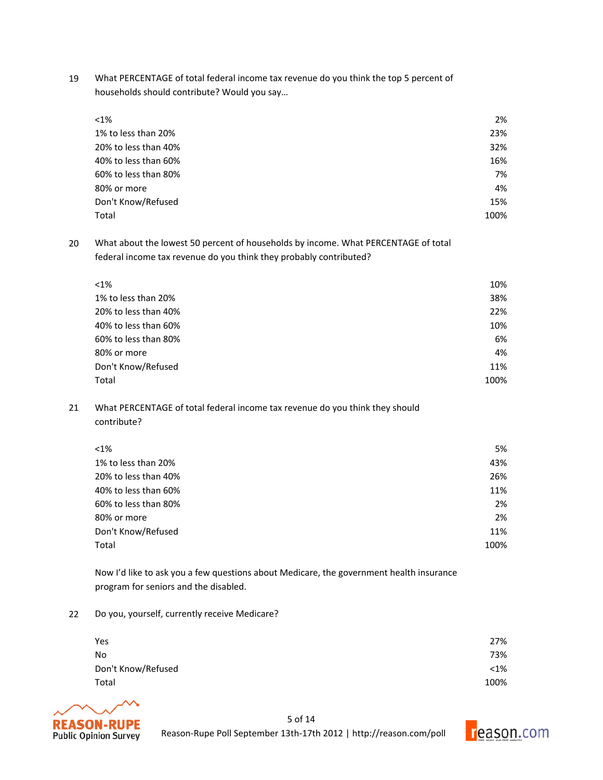19 What PERCENTAGE of total federal income tax revenue do you think the top 5 percent of households should contribute? Would you say...

| $< 1\%$              | 2%   |
|----------------------|------|
| 1% to less than 20%  | 23%  |
| 20% to less than 40% | 32%  |
| 40% to less than 60% | 16%  |
| 60% to less than 80% | 7%   |
| 80% or more          | 4%   |
| Don't Know/Refused   | 15%  |
| Total                | 100% |

20 What about the lowest 50 percent of households by income. What PERCENTAGE of total federal income tax revenue do you think they probably contributed?

| $< 1\%$              | 10%  |
|----------------------|------|
| 1% to less than 20%  | 38%  |
| 20% to less than 40% | 22%  |
| 40% to less than 60% | 10%  |
| 60% to less than 80% | 6%   |
| 80% or more          | 4%   |
| Don't Know/Refused   | 11%  |
| Total                | 100% |

21 What PERCENTAGE of total federal income tax revenue do you think they should contribute?

| $< 1\%$              | 5%   |
|----------------------|------|
| 1% to less than 20%  | 43%  |
| 20% to less than 40% | 26%  |
| 40% to less than 60% | 11%  |
| 60% to less than 80% | 2%   |
| 80% or more          | 2%   |
| Don't Know/Refused   | 11%  |
| Total                | 100% |

Now I'd like to ask you a few questions about Medicare, the government health insurance program for seniors and the disabled.

22 Do you, yourself, currently receive Medicare?

| Yes                | 27%     |
|--------------------|---------|
| No                 | 73%     |
| Don't Know/Refused | $< 1\%$ |
| Total              | 100%    |



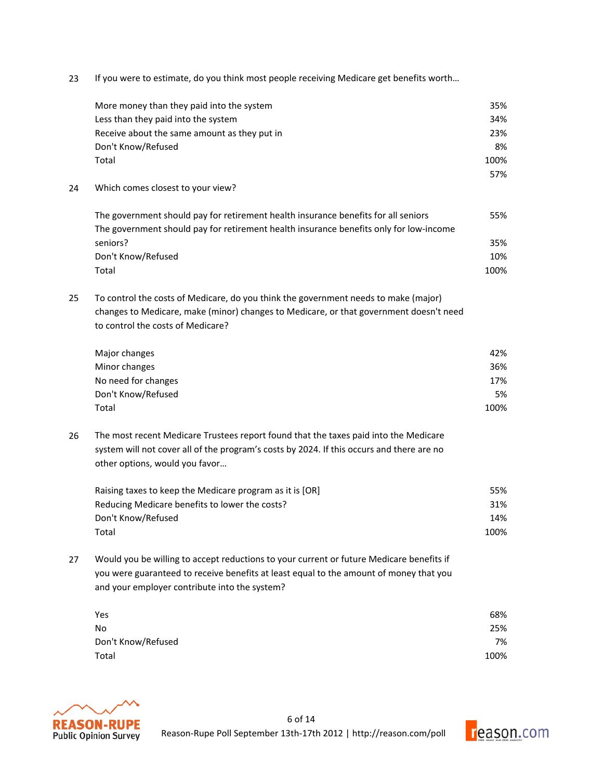23 If you were to estimate, do you think most people receiving Medicare get benefits worth...

|    | More money than they paid into the system                                                 | 35%  |
|----|-------------------------------------------------------------------------------------------|------|
|    | Less than they paid into the system                                                       | 34%  |
|    | Receive about the same amount as they put in                                              | 23%  |
|    | Don't Know/Refused                                                                        | 8%   |
|    | Total                                                                                     | 100% |
|    |                                                                                           | 57%  |
| 24 | Which comes closest to your view?                                                         |      |
|    | The government should pay for retirement health insurance benefits for all seniors        | 55%  |
|    | The government should pay for retirement health insurance benefits only for low-income    |      |
|    | seniors?                                                                                  | 35%  |
|    | Don't Know/Refused                                                                        | 10%  |
|    | Total                                                                                     | 100% |
| 25 | To control the costs of Medicare, do you think the government needs to make (major)       |      |
|    | changes to Medicare, make (minor) changes to Medicare, or that government doesn't need    |      |
|    | to control the costs of Medicare?                                                         |      |
|    | Major changes                                                                             | 42%  |
|    | Minor changes                                                                             | 36%  |
|    | No need for changes                                                                       | 17%  |
|    | Don't Know/Refused                                                                        | 5%   |
|    | Total                                                                                     | 100% |
| 26 | The most recent Medicare Trustees report found that the taxes paid into the Medicare      |      |
|    | system will not cover all of the program's costs by 2024. If this occurs and there are no |      |
|    | other options, would you favor                                                            |      |
|    | Raising taxes to keep the Medicare program as it is [OR]                                  | 55%  |
|    | Reducing Medicare benefits to lower the costs?                                            | 31%  |
|    | Don't Know/Refused                                                                        | 14%  |
|    | Total                                                                                     | 100% |
| 27 | Would you be willing to accept reductions to your current or future Medicare benefits if  |      |
|    | you were guaranteed to receive benefits at least equal to the amount of money that you    |      |
|    | and your employer contribute into the system?                                             |      |
|    | Yes                                                                                       | 68%  |
|    | No                                                                                        | 25%  |
|    | Don't Know/Refused                                                                        | 7%   |
|    | Total                                                                                     | 100% |
|    |                                                                                           |      |



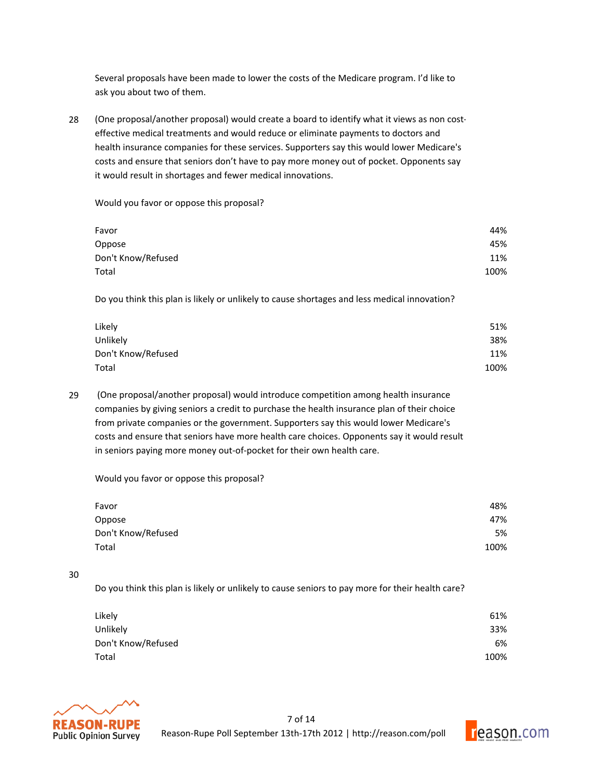Several proposals have been made to lower the costs of the Medicare program. I'd like to ask you about two of them.

28 (One proposal/another proposal) would create a board to identify what it views as non costeffective medical treatments and would reduce or eliminate payments to doctors and health insurance companies for these services. Supporters say this would lower Medicare's costs and ensure that seniors don't have to pay more money out of pocket. Opponents say it would result in shortages and fewer medical innovations.

Would you favor or oppose this proposal?

| Favor              | 44%  |
|--------------------|------|
| Oppose             | 45%  |
| Don't Know/Refused | 11%  |
| Total              | 100% |
|                    |      |

Do you think this plan is likely or unlikely to cause shortages and less medical innovation?

| Likely             | 51%  |
|--------------------|------|
| Unlikely           | 38%  |
| Don't Know/Refused | 11%  |
| Total              | 100% |

29 (One proposal/another proposal) would introduce competition among health insurance companies by giving seniors a credit to purchase the health insurance plan of their choice from private companies or the government. Supporters say this would lower Medicare's costs and ensure that seniors have more health care choices. Opponents say it would result in seniors paying more money out-of-pocket for their own health care.

Would you favor or oppose this proposal?

| Favor              | 48%  |
|--------------------|------|
| Oppose             | 47%  |
| Don't Know/Refused | 5%   |
| Total              | 100% |

## 30

Do you think this plan is likely or unlikely to cause seniors to pay more for their health care?

| Likely             | 61%  |
|--------------------|------|
| Unlikely           | 33%  |
| Don't Know/Refused | 6%   |
| Total              | 100% |



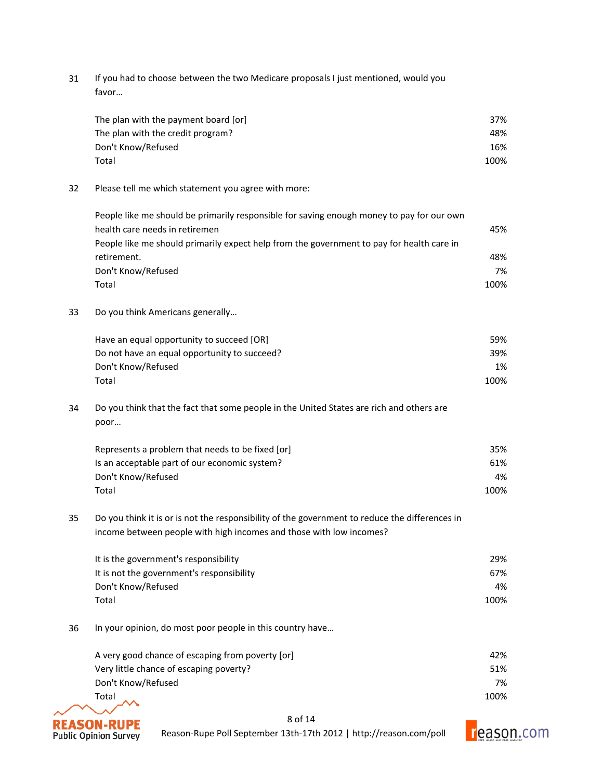31 If you had to choose between the two Medicare proposals I just mentioned, would you favor…

| The plan with the payment board [or] | 37%  |
|--------------------------------------|------|
| The plan with the credit program?    | 48%  |
| Don't Know/Refused                   | 16%  |
| Total                                | 100% |

32 Please tell me which statement you agree with more:

| People like me should be primarily responsible for saving enough money to pay for our own |      |
|-------------------------------------------------------------------------------------------|------|
| health care needs in retiremen                                                            | 45%  |
| People like me should primarily expect help from the government to pay for health care in |      |
| retirement.                                                                               | 48%  |
| Don't Know/Refused                                                                        | 7%   |
| Total                                                                                     | 100% |

33 Do you think Americans generally...

| Have an equal opportunity to succeed [OR]    | 59%  |
|----------------------------------------------|------|
| Do not have an equal opportunity to succeed? | 39%  |
| Don't Know/Refused                           | 1%   |
| Total                                        | 100% |

34 Do you think that the fact that some people in the United States are rich and others are poor…

| Represents a problem that needs to be fixed [or] | 35%  |
|--------------------------------------------------|------|
| Is an acceptable part of our economic system?    | 61%  |
| Don't Know/Refused                               | 4%   |
| Total                                            | 100% |

35 Do you think it is or is not the responsibility of the government to reduce the differences in income between people with high incomes and those with low incomes?

| It is the government's responsibility     | 29%  |
|-------------------------------------------|------|
| It is not the government's responsibility | 67%  |
| Don't Know/Refused                        | 4%   |
| Total                                     | 100% |

36 In your opinion, do most poor people in this country have...

| A very good chance of escaping from poverty [or] | 42%  |
|--------------------------------------------------|------|
| Very little chance of escaping poverty?          | 51%  |
| Don't Know/Refused                               | 7%   |
| Total                                            | 100% |



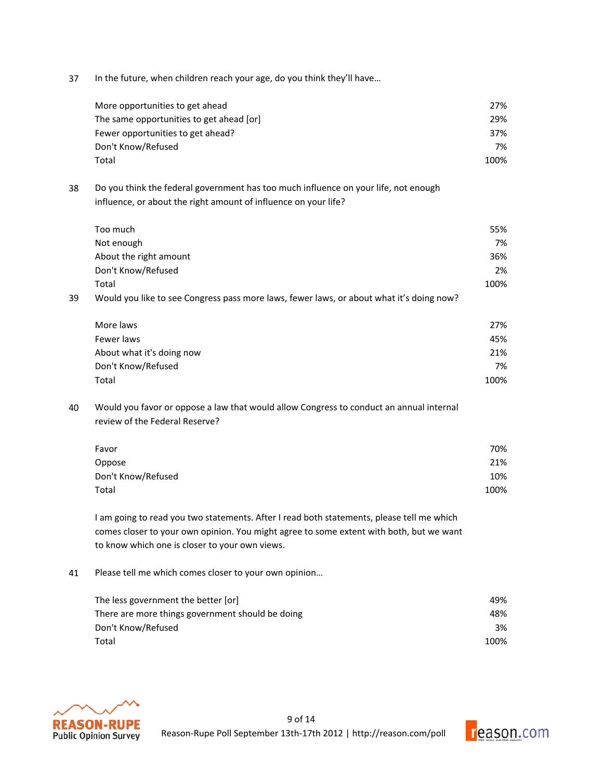37 In the future, when children reach your age, do you think they'll have...

| More opportunities to get ahead          | 27%  |
|------------------------------------------|------|
| The same opportunities to get ahead [or] | 29%  |
| Fewer opportunities to get ahead?        | 37%  |
| Don't Know/Refused                       | 7%   |
| Total                                    | 100% |

38 Do you think the federal government has too much influence on your life, not enough influence, or about the right amount of influence on your life?

|    | Too much                                                                                 | 55%  |
|----|------------------------------------------------------------------------------------------|------|
|    | Not enough                                                                               | 7%   |
|    | About the right amount                                                                   | 36%  |
|    | Don't Know/Refused                                                                       | 2%   |
|    | Total                                                                                    | 100% |
| 39 | Would you like to see Congress pass more laws, fewer laws, or about what it's doing now? |      |
|    |                                                                                          |      |

| 27%  |
|------|
| 45%  |
| 21%  |
| 7%   |
| 100% |
|      |

40 Would you favor or oppose a law that would allow Congress to conduct an annual internal review of the Federal Reserve?

| Favor              | 70%  |
|--------------------|------|
| Oppose             | 21%  |
| Don't Know/Refused | 10%  |
| Total              | 100% |

I am going to read you two statements. After I read both statements, please tell me which comes closer to your own opinion. You might agree to some extent with both, but we want to know which one is closer to your own views.

41 Please tell me which comes closer to your own opinion...

| The less government the better [or]              | 49%  |
|--------------------------------------------------|------|
| There are more things government should be doing | 48%  |
| Don't Know/Refused                               | 3%   |
| Total                                            | 100% |



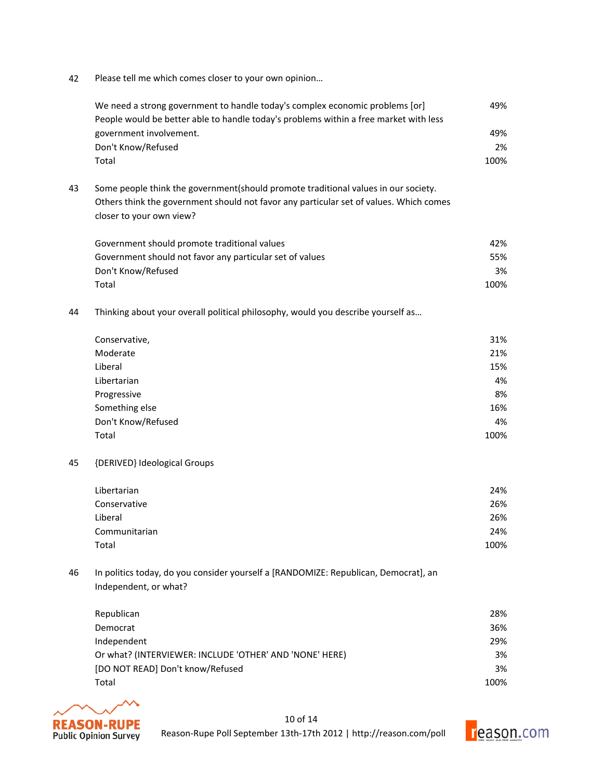42 Please tell me which comes closer to your own opinion...

|    | We need a strong government to handle today's complex economic problems [or]<br>People would be better able to handle today's problems within a free market with less | 49%  |
|----|-----------------------------------------------------------------------------------------------------------------------------------------------------------------------|------|
|    | government involvement.                                                                                                                                               | 49%  |
|    | Don't Know/Refused                                                                                                                                                    | 2%   |
|    | Total                                                                                                                                                                 | 100% |
| 43 | Some people think the government (should promote traditional values in our society.                                                                                   |      |
|    | Others think the government should not favor any particular set of values. Which comes                                                                                |      |
|    | closer to your own view?                                                                                                                                              |      |
|    | Government should promote traditional values                                                                                                                          | 42%  |
|    | Government should not favor any particular set of values                                                                                                              | 55%  |
|    | Don't Know/Refused                                                                                                                                                    | 3%   |
|    | Total                                                                                                                                                                 | 100% |
| 44 | Thinking about your overall political philosophy, would you describe yourself as                                                                                      |      |
|    | Conservative,                                                                                                                                                         | 31%  |
|    | Moderate                                                                                                                                                              | 21%  |
|    | Liberal                                                                                                                                                               | 15%  |
|    | Libertarian                                                                                                                                                           | 4%   |
|    | Progressive                                                                                                                                                           | 8%   |
|    | Something else                                                                                                                                                        | 16%  |
|    | Don't Know/Refused                                                                                                                                                    | 4%   |
|    | Total                                                                                                                                                                 | 100% |
| 45 | {DERIVED} Ideological Groups                                                                                                                                          |      |
|    | Libertarian                                                                                                                                                           | 24%  |
|    | Conservative                                                                                                                                                          | 26%  |
|    | Liberal                                                                                                                                                               | 26%  |
|    | Communitarian                                                                                                                                                         | 24%  |
|    | Total                                                                                                                                                                 | 100% |
| 46 | In politics today, do you consider yourself a [RANDOMIZE: Republican, Democrat], an<br>Independent, or what?                                                          |      |
|    |                                                                                                                                                                       |      |
|    | Republican                                                                                                                                                            | 28%  |
|    | Democrat                                                                                                                                                              | 36%  |

| Democrat                                                | 36%  |
|---------------------------------------------------------|------|
| Independent                                             | 29%  |
| Or what? (INTERVIEWER: INCLUDE 'OTHER' AND 'NONE' HERE) | 3%   |
| [DO NOT READ] Don't know/Refused                        | 3%   |
| Total                                                   | 100% |



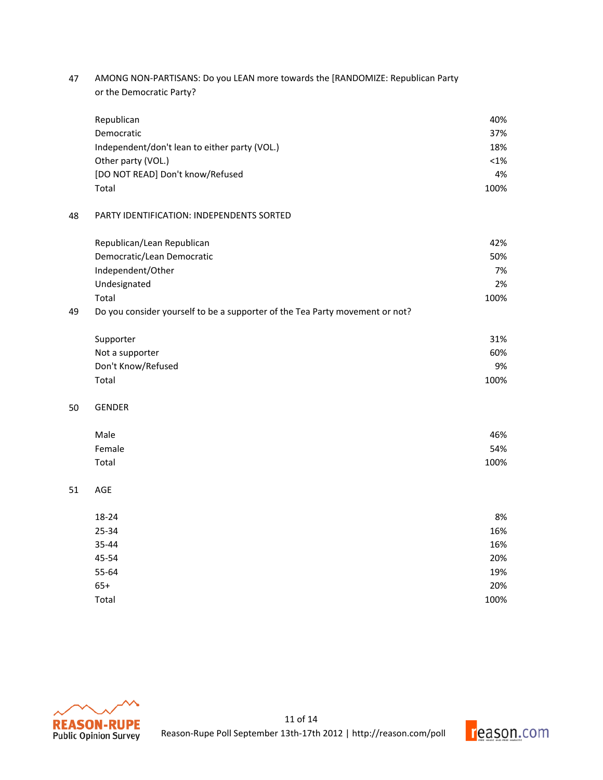47 AMONG NON-PARTISANS: Do you LEAN more towards the [RANDOMIZE: Republican Party or the Democratic Party?

|    | Republican                                                                   | 40%     |
|----|------------------------------------------------------------------------------|---------|
|    | Democratic                                                                   | 37%     |
|    | Independent/don't lean to either party (VOL.)                                | 18%     |
|    | Other party (VOL.)                                                           | $< 1\%$ |
|    | [DO NOT READ] Don't know/Refused                                             | 4%      |
|    | Total                                                                        | 100%    |
| 48 | PARTY IDENTIFICATION: INDEPENDENTS SORTED                                    |         |
|    | Republican/Lean Republican                                                   | 42%     |
|    | Democratic/Lean Democratic                                                   | 50%     |
|    | Independent/Other                                                            | 7%      |
|    | Undesignated                                                                 | 2%      |
|    | Total                                                                        | 100%    |
| 49 | Do you consider yourself to be a supporter of the Tea Party movement or not? |         |
|    | Supporter                                                                    | 31%     |
|    | Not a supporter                                                              | 60%     |
|    | Don't Know/Refused                                                           | 9%      |
|    | Total                                                                        | 100%    |
| 50 | <b>GENDER</b>                                                                |         |
|    | Male                                                                         | 46%     |
|    | Female                                                                       | 54%     |
|    | Total                                                                        | 100%    |
| 51 | AGE                                                                          |         |
|    | 18-24                                                                        | 8%      |
|    | 25-34                                                                        | 16%     |
|    | 35-44                                                                        | 16%     |
|    | 45-54                                                                        | 20%     |
|    | 55-64                                                                        | 19%     |
|    | $65+$                                                                        | 20%     |
|    | Total                                                                        | 100%    |



50

 $51$ 

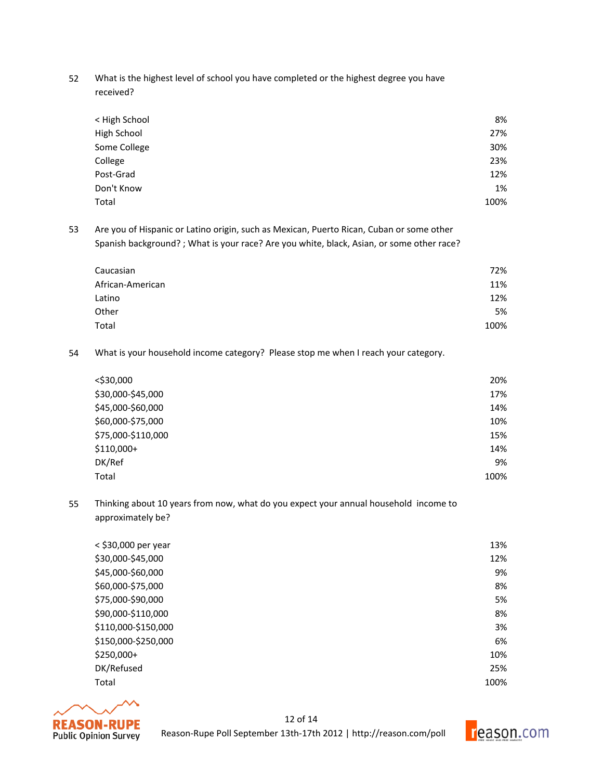52 What is the highest level of school you have completed or the highest degree you have received?

| < High School | 8%   |
|---------------|------|
| High School   | 27%  |
| Some College  | 30%  |
| College       | 23%  |
| Post-Grad     | 12%  |
| Don't Know    | 1%   |
| Total         | 100% |
|               |      |

53 Are you of Hispanic or Latino origin, such as Mexican, Puerto Rican, Cuban or some other Spanish background? ; What is your race? Are you white, black, Asian, or some other race?

| 72%  |
|------|
| 11%  |
| 12%  |
| 5%   |
| 100% |
|      |

54 What is your household income category? Please stop me when I reach your category.

| <\$30,000          | 20%  |
|--------------------|------|
| \$30,000-\$45,000  | 17%  |
| \$45,000-\$60,000  | 14%  |
| \$60,000-\$75,000  | 10%  |
| \$75,000-\$110,000 | 15%  |
| $$110,000+$        | 14%  |
| DK/Ref             | 9%   |
| Total              | 100% |

55 Thinking about 10 years from now, what do you expect your annual household income to approximately be?

| < \$30,000 per year | 13%  |
|---------------------|------|
| \$30,000-\$45,000   | 12%  |
| \$45,000-\$60,000   | 9%   |
| \$60,000-\$75,000   | 8%   |
| \$75,000-\$90,000   | 5%   |
| \$90,000-\$110,000  | 8%   |
| \$110,000-\$150,000 | 3%   |
| \$150,000-\$250,000 | 6%   |
| \$250,000+          | 10%  |
| DK/Refused          | 25%  |
| Total               | 100% |



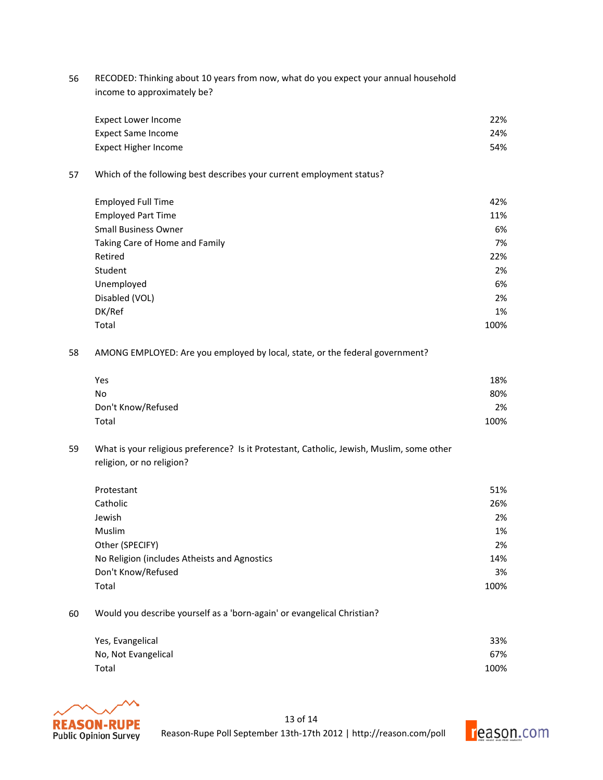56 RECODED: Thinking about 10 years from now, what do you expect your annual household income to approximately be?

| Expect Lower Income  | 22% |
|----------------------|-----|
| Expect Same Income   | 24% |
| Expect Higher Income | 54% |

57 Which of the following best describes your current employment status?

| <b>Employed Full Time</b>      | 42%  |
|--------------------------------|------|
| <b>Employed Part Time</b>      | 11%  |
| <b>Small Business Owner</b>    | 6%   |
| Taking Care of Home and Family | 7%   |
| Retired                        | 22%  |
| Student                        | 2%   |
| Unemployed                     | 6%   |
| Disabled (VOL)                 | 2%   |
| DK/Ref                         | 1%   |
| Total                          | 100% |

58 AMONG EMPLOYED: Are you employed by local, state, or the federal government?

| Yes                | 18%  |
|--------------------|------|
| No                 | 80%  |
| Don't Know/Refused | 2%   |
| Total              | 100% |

59 What is your religious preference? Is it Protestant, Catholic, Jewish, Muslim, some other religion, or no religion?

| Protestant                                   | 51%  |
|----------------------------------------------|------|
| Catholic                                     | 26%  |
| Jewish                                       | 2%   |
| Muslim                                       | 1%   |
| Other (SPECIFY)                              | 2%   |
| No Religion (includes Atheists and Agnostics | 14%  |
| Don't Know/Refused                           | 3%   |
| Total                                        | 100% |

60 Would you describe yourself as a 'born-again' or evangelical Christian?

| Yes, Evangelical    | 33%  |
|---------------------|------|
| No, Not Evangelical | 67%  |
| Total               | 100% |